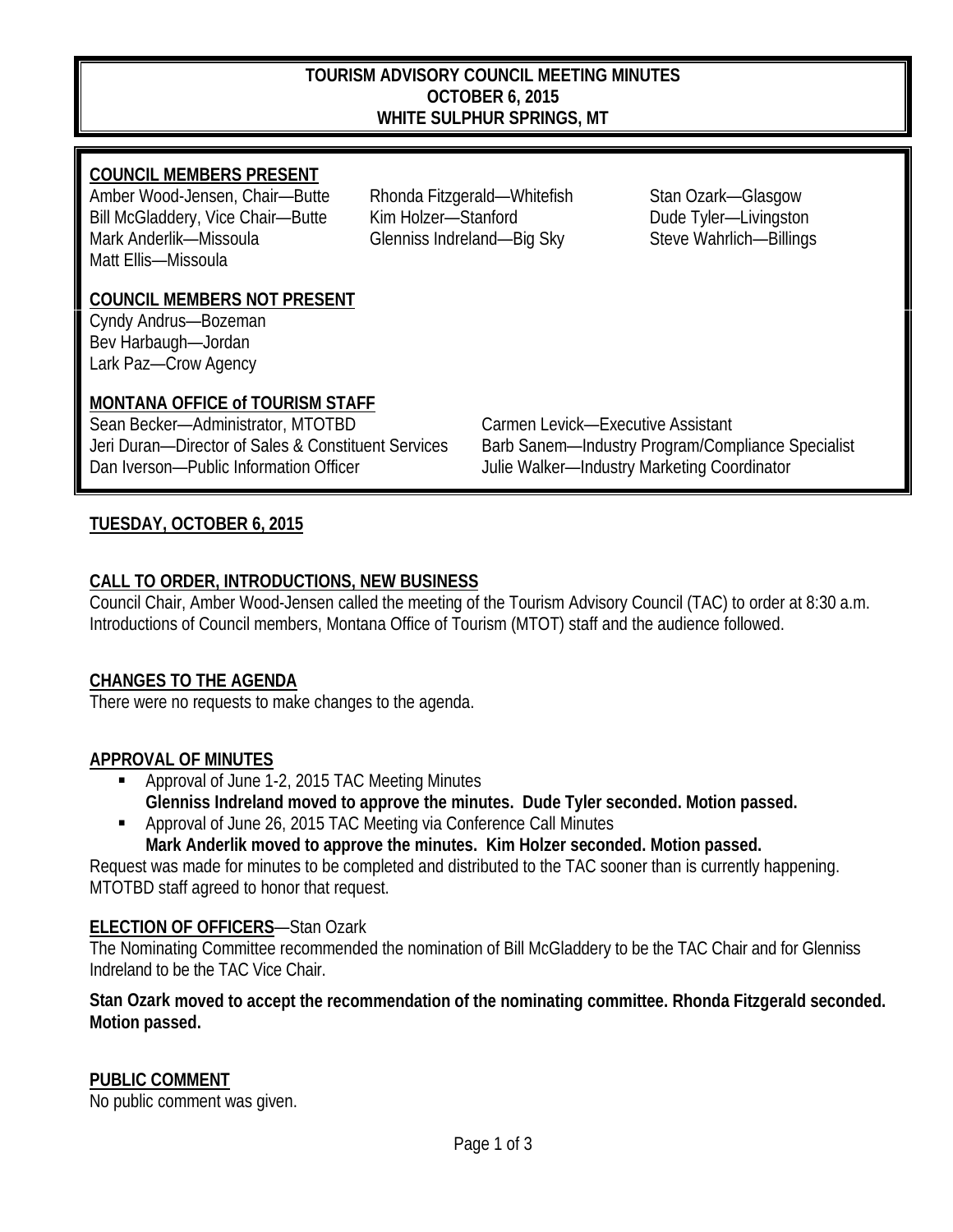#### **TOURISM ADVISORY COUNCIL MEETING MINUTES OCTOBER 6, 2015 WHITE SULPHUR SPRINGS, MT**

### **COUNCIL MEMBERS PRESENT**

Amber Wood-Jensen, Chair-Butte Rhonda Fitzgerald-Whitefish Stan Ozark-Glasgow Bill McGladdery, Vice Chair—Butte Kim Holzer—Stanford Dude Tyler—Livingston Mark Anderlik—Missoula Glenniss Indreland—Big Sky Steve Wahrlich—Billings Matt Ellis—Missoula

### **COUNCIL MEMBERS NOT PRESENT**

Cyndy Andrus—Bozeman Bev Harbaugh—Jordan Lark Paz—Crow Agency

### **MONTANA OFFICE of TOURISM STAFF**

Sean Becker—Administrator, MTOTBD Carmen Levick—Executive Assistant Dan Iverson—Public Information Officer Julie Walker—Industry Marketing Coordinator

Jeri Duran—Director of Sales & Constituent Services Barb Sanem—Industry Program/Compliance Specialist

### **TUESDAY, OCTOBER 6, 2015**

### **CALL TO ORDER, INTRODUCTIONS, NEW BUSINESS**

Council Chair, Amber Wood-Jensen called the meeting of the Tourism Advisory Council (TAC) to order at 8:30 a.m. Introductions of Council members, Montana Office of Tourism (MTOT) staff and the audience followed.

### **CHANGES TO THE AGENDA**

There were no requests to make changes to the agenda.

### **APPROVAL OF MINUTES**

- Approval of June 1-2, 2015 TAC Meeting Minutes **Glenniss Indreland moved to approve the minutes. Dude Tyler seconded. Motion passed.**
- Approval of June 26, 2015 TAC Meeting via Conference Call Minutes **Mark Anderlik moved to approve the minutes. Kim Holzer seconded. Motion passed.**

Request was made for minutes to be completed and distributed to the TAC sooner than is currently happening. MTOTBD staff agreed to honor that request.

### **ELECTION OF OFFICERS**—Stan Ozark

The Nominating Committee recommended the nomination of Bill McGladdery to be the TAC Chair and for Glenniss Indreland to be the TAC Vice Chair.

#### **Stan Ozark moved to accept the recommendation of the nominating committee. Rhonda Fitzgerald seconded. Motion passed.**

### **PUBLIC COMMENT**

No public comment was given.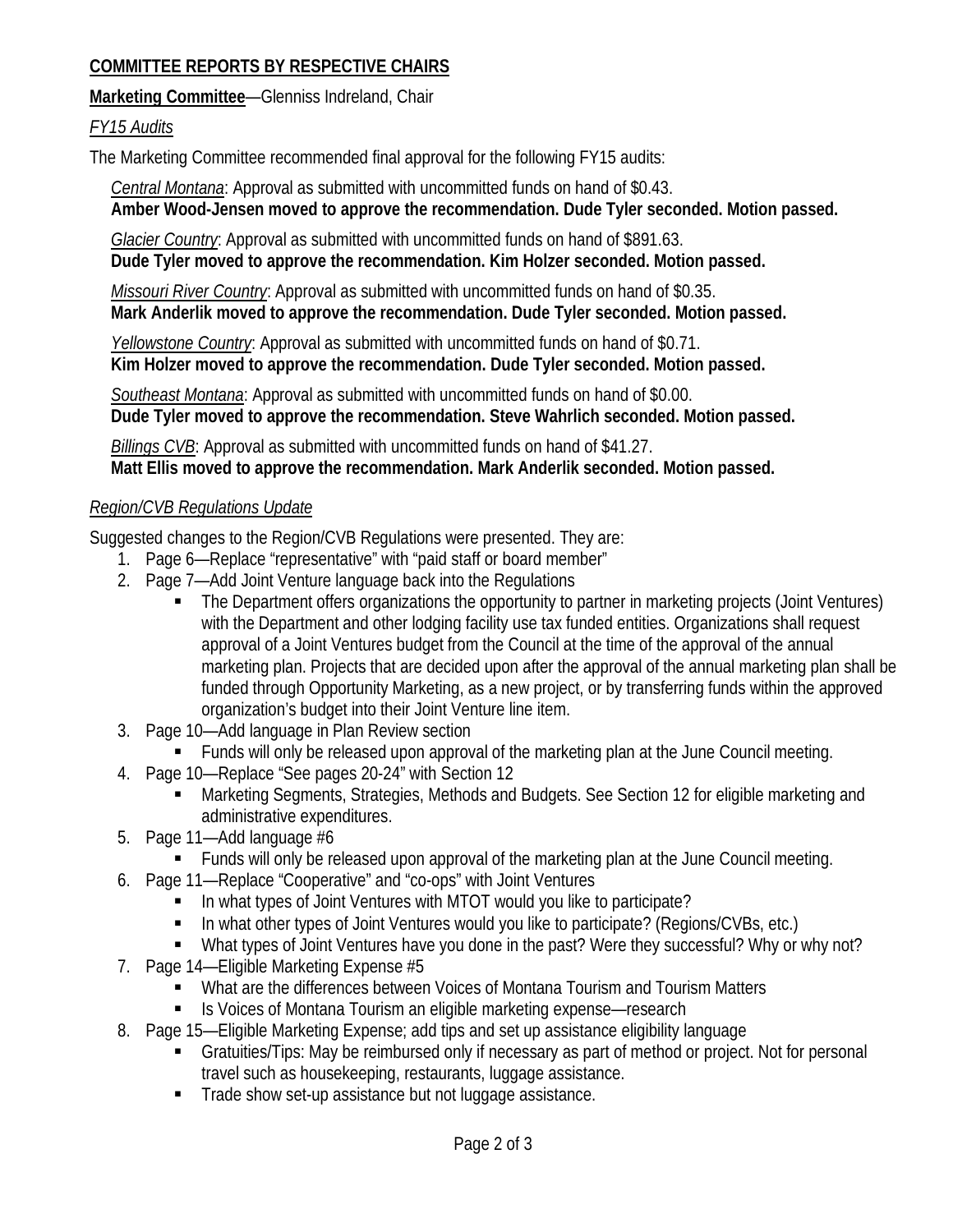# **COMMITTEE REPORTS BY RESPECTIVE CHAIRS**

**Marketing Committee**—Glenniss Indreland, Chair

## *FY15 Audits*

The Marketing Committee recommended final approval for the following FY15 audits:

 *Central Montana*: Approval as submitted with uncommitted funds on hand of \$0.43.

 **Amber Wood-Jensen moved to approve the recommendation. Dude Tyler seconded. Motion passed.**

 *Glacier Country*: Approval as submitted with uncommitted funds on hand of \$891.63.  **Dude Tyler moved to approve the recommendation. Kim Holzer seconded. Motion passed.**

 *Missouri River Country*: Approval as submitted with uncommitted funds on hand of \$0.35.  **Mark Anderlik moved to approve the recommendation. Dude Tyler seconded. Motion passed.**

 *Yellowstone Country*: Approval as submitted with uncommitted funds on hand of \$0.71.  **Kim Holzer moved to approve the recommendation. Dude Tyler seconded. Motion passed.**

 *Southeast Montana*: Approval as submitted with uncommitted funds on hand of \$0.00.  **Dude Tyler moved to approve the recommendation. Steve Wahrlich seconded. Motion passed.**

 *Billings CVB*: Approval as submitted with uncommitted funds on hand of \$41.27.  **Matt Ellis moved to approve the recommendation. Mark Anderlik seconded. Motion passed.**

## *Region/CVB Regulations Update*

Suggested changes to the Region/CVB Regulations were presented. They are:

- 1. Page 6—Replace "representative" with "paid staff or board member"
- 2. Page 7—Add Joint Venture language back into the Regulations
	- The Department offers organizations the opportunity to partner in marketing projects (Joint Ventures) with the Department and other lodging facility use tax funded entities. Organizations shall request approval of a Joint Ventures budget from the Council at the time of the approval of the annual marketing plan. Projects that are decided upon after the approval of the annual marketing plan shall be funded through Opportunity Marketing, as a new project, or by transferring funds within the approved organization's budget into their Joint Venture line item.
- 3. Page 10—Add language in Plan Review section
	- **Funds will only be released upon approval of the marketing plan at the June Council meeting.**
- 4. Page 10—Replace "See pages 20-24" with Section 12
	- Marketing Segments, Strategies, Methods and Budgets. See Section 12 for eligible marketing and administrative expenditures.
- 5. Page 11—Add language #6
	- Funds will only be released upon approval of the marketing plan at the June Council meeting.
- 6. Page 11—Replace "Cooperative" and "co-ops" with Joint Ventures
	- In what types of Joint Ventures with MTOT would you like to participate?
	- In what other types of Joint Ventures would you like to participate? (Regions/CVBs, etc.)
	- What types of Joint Ventures have you done in the past? Were they successful? Why or why not?
- 7. Page 14—Eligible Marketing Expense #5
	- What are the differences between Voices of Montana Tourism and Tourism Matters
	- Is Voices of Montana Tourism an eligible marketing expense—research
- 8. Page 15—Eligible Marketing Expense; add tips and set up assistance eligibility language
	- Gratuities/Tips: May be reimbursed only if necessary as part of method or project. Not for personal travel such as housekeeping, restaurants, luggage assistance.
	- Trade show set-up assistance but not luggage assistance.